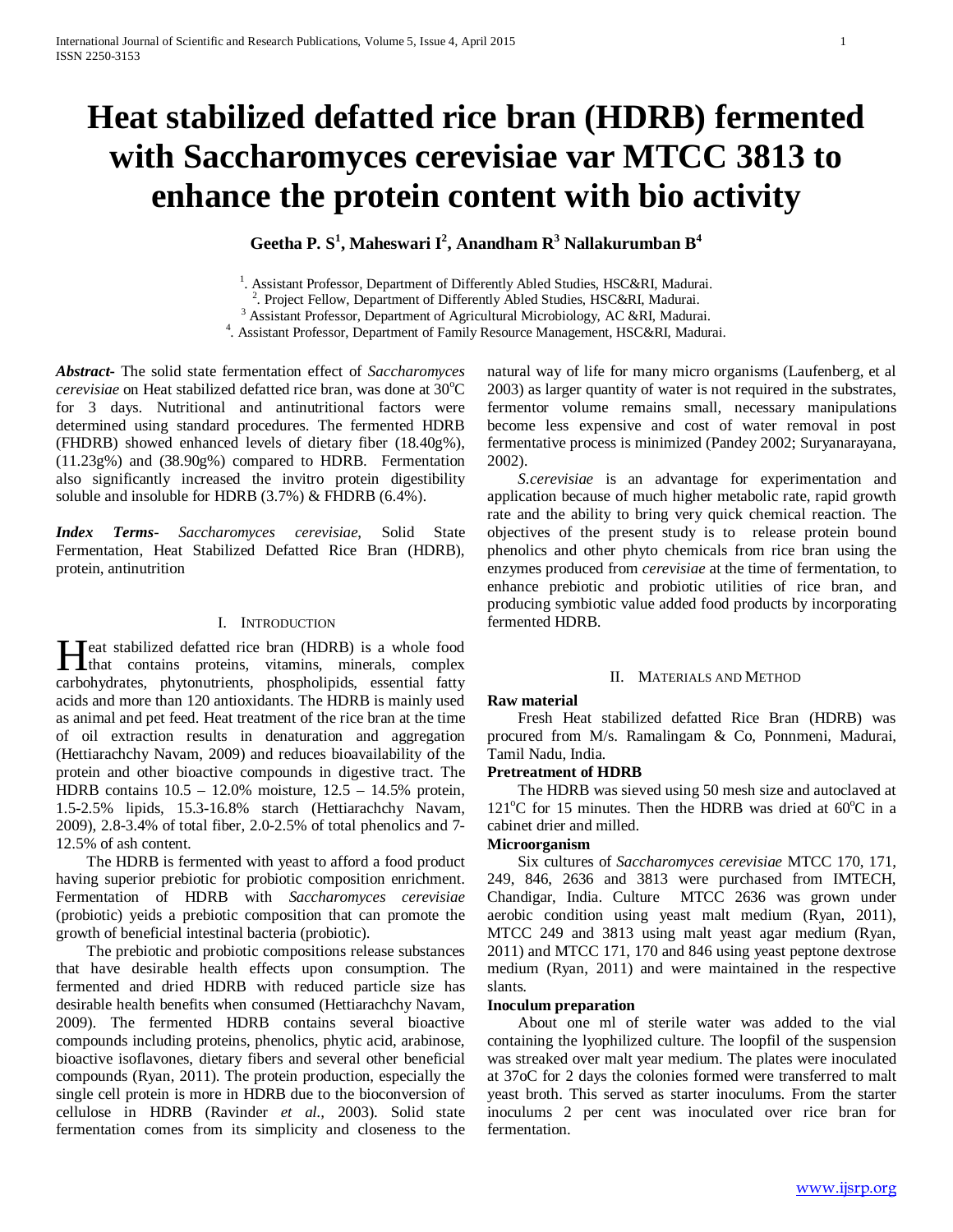# **Heat stabilized defatted rice bran (HDRB) fermented with Saccharomyces cerevisiae var MTCC 3813 to enhance the protein content with bio activity**

**Geetha P. S<sup>1</sup> , Maheswari I<sup>2</sup> , Anandham R3 Nallakurumban B<sup>4</sup>**

<sup>1</sup>. Assistant Professor, Department of Differently Abled Studies, HSC&RI, Madurai.<br><sup>2</sup> Project Fellow, Department of Differently Abled Studies, HSC&PI, Madurai.

<sup>2</sup>. Project Fellow, Department of Differently Abled Studies, HSC&RI, Madurai.  $3$  Assistant Professor, Department of Agricultural Microbiology, AC &RI, Madurai.

. Assistant Professor, Department of Family Resource Management, HSC&RI, Madurai.

*Abstract***-** The solid state fermentation effect of *Saccharomyces*  cerevisiae on Heat stabilized defatted rice bran, was done at 30°C for 3 days. Nutritional and antinutritional factors were determined using standard procedures. The fermented HDRB (FHDRB) showed enhanced levels of dietary fiber (18.40g%), (11.23g%) and (38.90g%) compared to HDRB. Fermentation also significantly increased the invitro protein digestibility soluble and insoluble for HDRB (3.7%) & FHDRB (6.4%).

*Index Terms*- *Saccharomyces cerevisiae*, Solid State Fermentation, Heat Stabilized Defatted Rice Bran (HDRB), protein, antinutrition

#### I. INTRODUCTION

eat stabilized defatted rice bran (HDRB) is a whole food that contains proteins, vitamins, minerals, complex carbohydrates, phytonutrients, phospholipids, essential fatty acids and more than 120 antioxidants. The HDRB is mainly used as animal and pet feed. Heat treatment of the rice bran at the time of oil extraction results in denaturation and aggregation (Hettiarachchy Navam, 2009) and reduces bioavailability of the protein and other bioactive compounds in digestive tract. The HDRB contains 10.5 – 12.0% moisture, 12.5 – 14.5% protein, 1.5-2.5% lipids, 15.3-16.8% starch (Hettiarachchy Navam, 2009), 2.8-3.4% of total fiber, 2.0-2.5% of total phenolics and 7- 12.5% of ash content. H

 The HDRB is fermented with yeast to afford a food product having superior prebiotic for probiotic composition enrichment. Fermentation of HDRB with *Saccharomyces cerevisiae* (probiotic) yeids a prebiotic composition that can promote the growth of beneficial intestinal bacteria (probiotic).

 The prebiotic and probiotic compositions release substances that have desirable health effects upon consumption. The fermented and dried HDRB with reduced particle size has desirable health benefits when consumed (Hettiarachchy Navam, 2009). The fermented HDRB contains several bioactive compounds including proteins, phenolics, phytic acid, arabinose, bioactive isoflavones, dietary fibers and several other beneficial compounds (Ryan, 2011). The protein production, especially the single cell protein is more in HDRB due to the bioconversion of cellulose in HDRB (Ravinder *et al.,* 2003). Solid state fermentation comes from its simplicity and closeness to the natural way of life for many micro organisms (Laufenberg, et al 2003) as larger quantity of water is not required in the substrates, fermentor volume remains small, necessary manipulations become less expensive and cost of water removal in post fermentative process is minimized (Pandey 2002; Suryanarayana, 2002).

 *S.cerevisiae* is an advantage for experimentation and application because of much higher metabolic rate, rapid growth rate and the ability to bring very quick chemical reaction. The objectives of the present study is to release protein bound phenolics and other phyto chemicals from rice bran using the enzymes produced from *cerevisiae* at the time of fermentation, to enhance prebiotic and probiotic utilities of rice bran, and producing symbiotic value added food products by incorporating fermented HDRB.

#### II. MATERIALS AND METHOD

#### **Raw material**

 Fresh Heat stabilized defatted Rice Bran (HDRB) was procured from M/s. Ramalingam & Co, Ponnmeni, Madurai, Tamil Nadu, India.

## **Pretreatment of HDRB**

 The HDRB was sieved using 50 mesh size and autoclaved at 121°C for 15 minutes. Then the HDRB was dried at 60°C in a cabinet drier and milled.

## **Microorganism**

 Six cultures of *Saccharomyces cerevisiae* MTCC 170, 171, 249, 846, 2636 and 3813 were purchased from IMTECH, Chandigar, India. Culture MTCC 2636 was grown under aerobic condition using yeast malt medium (Ryan, 2011), MTCC 249 and 3813 using malt yeast agar medium (Ryan, 2011) and MTCC 171, 170 and 846 using yeast peptone dextrose medium (Ryan, 2011) and were maintained in the respective slants.

## **Inoculum preparation**

 About one ml of sterile water was added to the vial containing the lyophilized culture. The loopfil of the suspension was streaked over malt year medium. The plates were inoculated at 37oC for 2 days the colonies formed were transferred to malt yeast broth. This served as starter inoculums. From the starter inoculums 2 per cent was inoculated over rice bran for fermentation.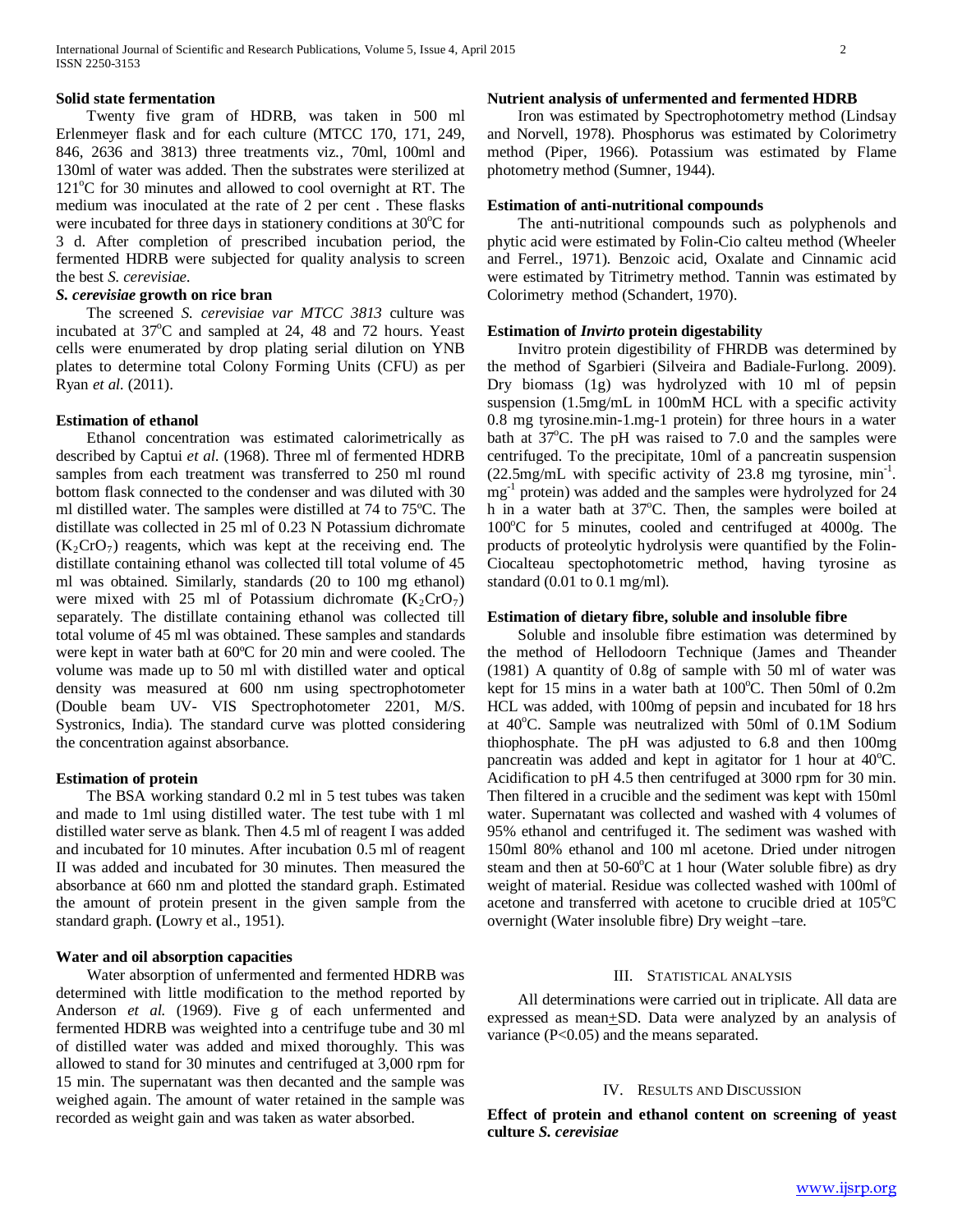#### **Solid state fermentation**

 Twenty five gram of HDRB, was taken in 500 ml Erlenmeyer flask and for each culture (MTCC 170, 171, 249, 846, 2636 and 3813) three treatments viz., 70ml, 100ml and 130ml of water was added. Then the substrates were sterilized at 121°C for 30 minutes and allowed to cool overnight at RT. The medium was inoculated at the rate of 2 per cent . These flasks were incubated for three days in stationery conditions at 30°C for 3 d. After completion of prescribed incubation period, the fermented HDRB were subjected for quality analysis to screen the best *S. cerevisiae.*

## *S. cerevisiae* **growth on rice bran**

 The screened *S. cerevisiae var MTCC 3813* culture was incubated at 37°C and sampled at 24, 48 and 72 hours. Yeast cells were enumerated by drop plating serial dilution on YNB plates to determine total Colony Forming Units (CFU) as per Ryan *et al.* (2011).

#### **Estimation of ethanol**

 Ethanol concentration was estimated calorimetrically as described by Captui *et al*. (1968). Three ml of fermented HDRB samples from each treatment was transferred to 250 ml round bottom flask connected to the condenser and was diluted with 30 ml distilled water. The samples were distilled at 74 to 75ºC. The distillate was collected in 25 ml of 0.23 N Potassium dichromate  $(K_2CrO_7)$  reagents, which was kept at the receiving end. The distillate containing ethanol was collected till total volume of 45 ml was obtained. Similarly, standards (20 to 100 mg ethanol) were mixed with 25 ml of Potassium dichromate  $(K_2C_1C_7)$ separately. The distillate containing ethanol was collected till total volume of 45 ml was obtained. These samples and standards were kept in water bath at 60ºC for 20 min and were cooled. The volume was made up to 50 ml with distilled water and optical density was measured at 600 nm using spectrophotometer (Double beam UV- VIS Spectrophotometer 2201, M/S. Systronics, India). The standard curve was plotted considering the concentration against absorbance.

#### **Estimation of protein**

 The BSA working standard 0.2 ml in 5 test tubes was taken and made to 1ml using distilled water. The test tube with 1 ml distilled water serve as blank. Then 4.5 ml of reagent I was added and incubated for 10 minutes. After incubation 0.5 ml of reagent II was added and incubated for 30 minutes. Then measured the absorbance at 660 nm and plotted the standard graph. Estimated the amount of protein present in the given sample from the standard graph. **(**Lowry et al., 1951).

## **Water and oil absorption capacities**

 Water absorption of unfermented and fermented HDRB was determined with little modification to the method reported by Anderson *et al.* (1969). Five g of each unfermented and fermented HDRB was weighted into a centrifuge tube and 30 ml of distilled water was added and mixed thoroughly. This was allowed to stand for 30 minutes and centrifuged at 3,000 rpm for 15 min. The supernatant was then decanted and the sample was weighed again. The amount of water retained in the sample was recorded as weight gain and was taken as water absorbed.

## **Nutrient analysis of unfermented and fermented HDRB**

 Iron was estimated by Spectrophotometry method (Lindsay and Norvell, 1978). Phosphorus was estimated by Colorimetry method (Piper, 1966). Potassium was estimated by Flame photometry method (Sumner, 1944).

#### **Estimation of anti-nutritional compounds**

 The anti-nutritional compounds such as polyphenols and phytic acid were estimated by Folin-Cio calteu method (Wheeler and Ferrel., 1971). Benzoic acid, Oxalate and Cinnamic acid were estimated by Titrimetry method. Tannin was estimated by Colorimetry method (Schandert, 1970).

#### **Estimation of** *Invirto* **protein digestability**

 Invitro protein digestibility of FHRDB was determined by the method of Sgarbieri (Silveira and Badiale-Furlong. 2009). Dry biomass (1g) was hydrolyzed with 10 ml of pepsin suspension (1.5mg/mL in 100mM HCL with a specific activity 0.8 mg tyrosine.min-1.mg-1 protein) for three hours in a water bath at  $37^{\circ}$ C. The pH was raised to 7.0 and the samples were centrifuged. To the precipitate, 10ml of a pancreatin suspension (22.5mg/mL with specific activity of 23.8 mg tyrosine, min-1 . mg<sup>-1</sup> protein) was added and the samples were hydrolyzed for 24 h in a water bath at 37°C. Then, the samples were boiled at 100°C for 5 minutes, cooled and centrifuged at 4000g. The products of proteolytic hydrolysis were quantified by the Folin-Ciocalteau spectophotometric method, having tyrosine as standard (0.01 to 0.1 mg/ml).

## **Estimation of dietary fibre, soluble and insoluble fibre**

 Soluble and insoluble fibre estimation was determined by the method of Hellodoorn Technique (James and Theander (1981) A quantity of 0.8g of sample with 50 ml of water was kept for 15 mins in a water bath at 100°C. Then 50ml of 0.2m HCL was added, with 100mg of pepsin and incubated for 18 hrs at 40°C. Sample was neutralized with 50ml of 0.1M Sodium thiophosphate. The pH was adjusted to 6.8 and then 100mg pancreatin was added and kept in agitator for 1 hour at 40°C. Acidification to pH 4.5 then centrifuged at 3000 rpm for 30 min. Then filtered in a crucible and the sediment was kept with 150ml water. Supernatant was collected and washed with 4 volumes of 95% ethanol and centrifuged it. The sediment was washed with 150ml 80% ethanol and 100 ml acetone. Dried under nitrogen steam and then at 50-60°C at 1 hour (Water soluble fibre) as dry weight of material. Residue was collected washed with 100ml of acetone and transferred with acetone to crucible dried at 105°C overnight (Water insoluble fibre) Dry weight –tare.

#### III. STATISTICAL ANALYSIS

 All determinations were carried out in triplicate. All data are expressed as mean+SD. Data were analyzed by an analysis of variance (P<0.05) and the means separated.

#### IV. RESULTS AND DISCUSSION

**Effect of protein and ethanol content on screening of yeast culture** *S. cerevisiae*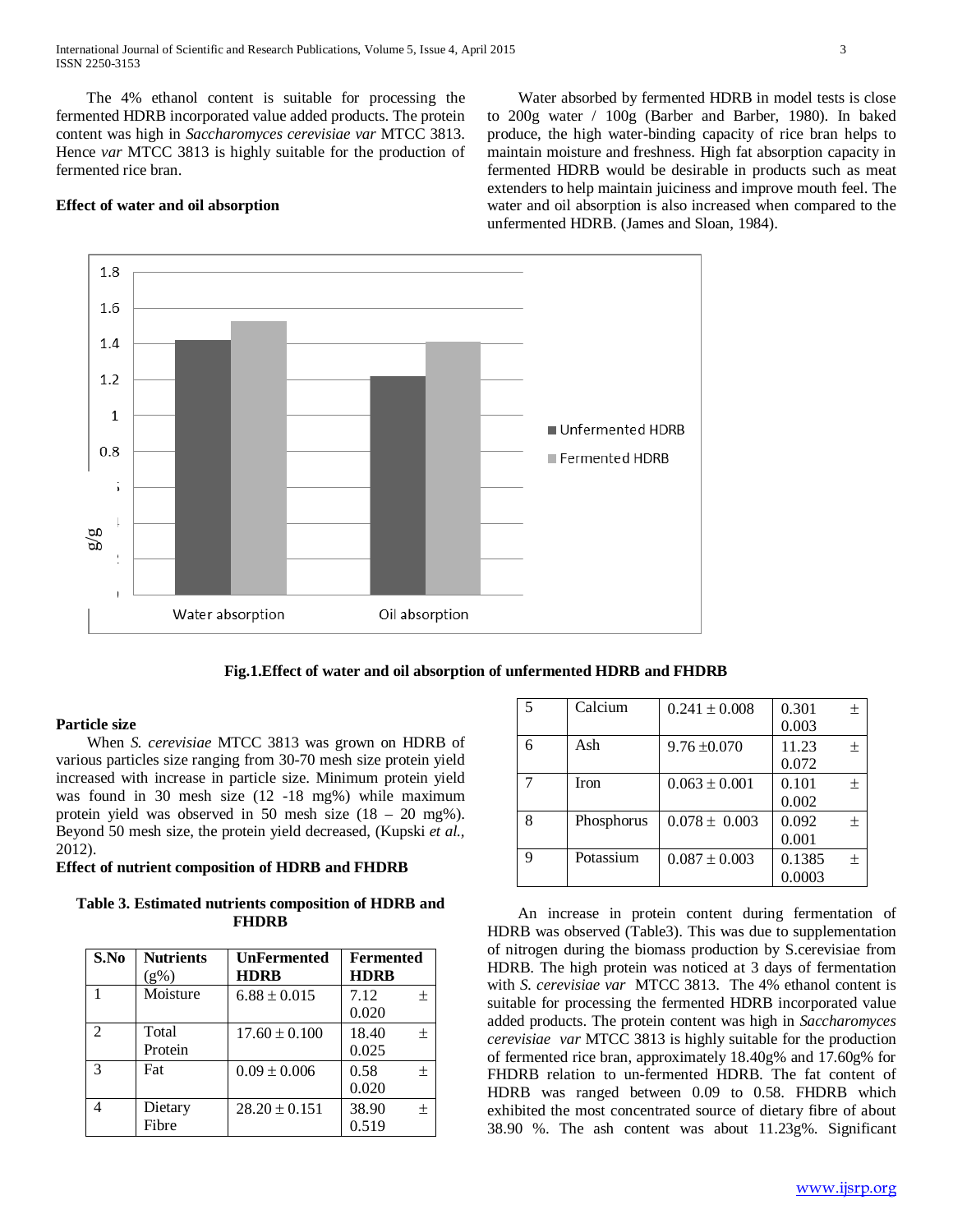International Journal of Scientific and Research Publications, Volume 5, Issue 4, April 2015 3 ISSN 2250-3153

 The 4% ethanol content is suitable for processing the fermented HDRB incorporated value added products. The protein content was high in *Saccharomyces cerevisiae var* MTCC 3813. Hence *var* MTCC 3813 is highly suitable for the production of fermented rice bran.

## **Effect of water and oil absorption**

 Water absorbed by fermented HDRB in model tests is close to 200g water / 100g (Barber and Barber, 1980). In baked produce, the high water-binding capacity of rice bran helps to maintain moisture and freshness. High fat absorption capacity in fermented HDRB would be desirable in products such as meat extenders to help maintain juiciness and improve mouth feel. The water and oil absorption is also increased when compared to the unfermented HDRB. (James and Sloan, 1984).



#### **Fig.1.Effect of water and oil absorption of unfermented HDRB and FHDRB**

#### **Particle size**

 When *S. cerevisiae* MTCC 3813 was grown on HDRB of various particles size ranging from 30-70 mesh size protein yield increased with increase in particle size. Minimum protein yield was found in 30 mesh size (12 -18 mg%) while maximum protein yield was observed in 50 mesh size (18 – 20 mg%). Beyond 50 mesh size, the protein yield decreased, (Kupski *et al.,* 2012).

## **Effect of nutrient composition of HDRB and FHDRB**

**Table 3. Estimated nutrients composition of HDRB and FHDRB**

| S.No                        | <b>Nutrients</b><br>$(g\%)$ | <b>UnFermented</b><br><b>HDRB</b> | <b>Fermented</b><br><b>HDRB</b> |
|-----------------------------|-----------------------------|-----------------------------------|---------------------------------|
|                             | Moisture                    | $6.88 \pm 0.015$                  | 7.12<br>士<br>0.020              |
| $\mathcal{D}_{\mathcal{A}}$ | Total<br>Protein            | $17.60 \pm 0.100$                 | 18.40<br>士<br>0.025             |
| $\mathcal{R}$               | Fat                         | $0.09 \pm 0.006$                  | 0.58<br>士<br>0.020              |
|                             | Dietary<br>Fibre            | $28.20 \pm 0.151$                 | 38.90<br>$^{+}$<br>0.519        |

| $\overline{5}$ | Calcium     | $0.241 \pm 0.008$ | 0.301  | 土      |
|----------------|-------------|-------------------|--------|--------|
|                |             |                   | 0.003  |        |
| 6              | Ash         | $9.76 \pm 0.070$  | 11.23  | $^{+}$ |
|                |             |                   | 0.072  |        |
|                | <b>Iron</b> | $0.063 \pm 0.001$ | 0.101  | $^{+}$ |
|                |             |                   | 0.002  |        |
| 8              | Phosphorus  | $0.078 \pm 0.003$ | 0.092  | $^{+}$ |
|                |             |                   | 0.001  |        |
| Q              | Potassium   | $0.087 \pm 0.003$ | 0.1385 | $^{+}$ |
|                |             |                   | 0.0003 |        |

 An increase in protein content during fermentation of HDRB was observed (Table3). This was due to supplementation of nitrogen during the biomass production by S.cerevisiae from HDRB. The high protein was noticed at 3 days of fermentation with *S. cerevisiae var* MTCC 3813. The 4% ethanol content is suitable for processing the fermented HDRB incorporated value added products. The protein content was high in *Saccharomyces cerevisiae var* MTCC 3813 is highly suitable for the production of fermented rice bran, approximately 18.40g% and 17.60g% for FHDRB relation to un-fermented HDRB. The fat content of HDRB was ranged between 0.09 to 0.58. FHDRB which exhibited the most concentrated source of dietary fibre of about 38.90 %. The ash content was about 11.23g%. Significant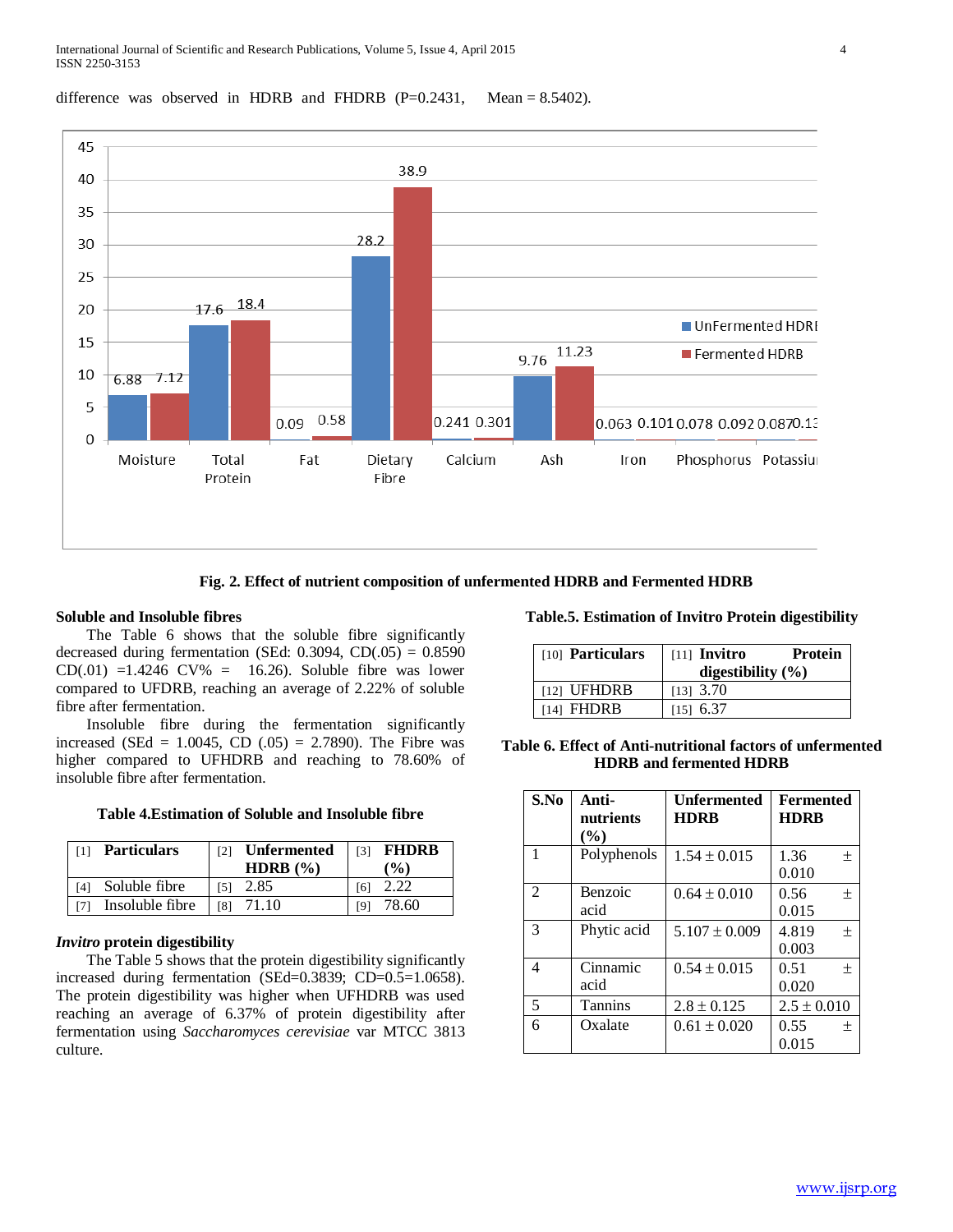## difference was observed in HDRB and FHDRB  $(P=0.2431,$  Mean = 8.5402).



**Fig. 2. Effect of nutrient composition of unfermented HDRB and Fermented HDRB**

## **Soluble and Insoluble fibres**

 The Table 6 shows that the soluble fibre significantly decreased during fermentation (SEd:  $0.3094$ , CD $(.05) = 0.8590$  $CD(.01) = 1.4246$  CV% = 16.26). Soluble fibre was lower compared to UFDRB, reaching an average of 2.22% of soluble fibre after fermentation.

 Insoluble fibre during the fermentation significantly increased (SEd = 1.0045, CD  $(.05)$  = 2.7890). The Fibre was higher compared to UFHDRB and reaching to 78.60% of insoluble fibre after fermentation.

## **Table 4.Estimation of Soluble and Insoluble fibre**

| <b>Particulars</b> | [2] | <b>Unfermented</b> | [3] | <b>FHDRB</b>  |
|--------------------|-----|--------------------|-----|---------------|
|                    |     | <b>HDRB</b> $(\%)$ |     | $\frac{9}{6}$ |
| Soluble fibre      | [5] | 2.85               |     |               |
| Insoluble fibre    | [8] | 71.10              |     | 78.60         |

#### *Invitro* **protein digestibility**

 The Table 5 shows that the protein digestibility significantly increased during fermentation (SEd=0.3839; CD=0.5=1.0658). The protein digestibility was higher when UFHDRB was used reaching an average of 6.37% of protein digestibility after fermentation using *Saccharomyces cerevisiae* var MTCC 3813 culture.

## **Table.5. Estimation of Invitro Protein digestibility**

| [10] Particulars | $[11]$ Invitro<br>digestibility $(\%)$ | Protein |
|------------------|----------------------------------------|---------|
| [12] UFHDRB      | $[13]$ 3.70                            |         |
| [14] FHDRB       | $[15]$ 6.37                            |         |

## **Table 6. Effect of Anti-nutritional factors of unfermented HDRB and fermented HDRB**

| S.No           | Anti-<br>nutrients<br>$($ %) | Unfermented<br><b>HDRB</b> | <b>Fermented</b><br><b>HDRB</b> |
|----------------|------------------------------|----------------------------|---------------------------------|
| 1              | Polyphenols                  | $1.54 \pm 0.015$           | 1.36<br>$^{+}$<br>0.010         |
| $\mathfrak{D}$ | Benzoic<br>acid              | $0.64 \pm 0.010$           | 0.56<br>士<br>0.015              |
| 3              | Phytic acid                  | $5.107 \pm 0.009$          | 4.819<br>$^{+}$<br>0.003        |
| 4              | Cinnamic<br>acid             | $0.54 \pm 0.015$           | 0.51<br>$^{+}$<br>0.020         |
| 5              | <b>Tannins</b>               | $2.8 \pm 0.125$            | $2.5 \pm 0.010$                 |
| 6              | Oxalate                      | $0.61 \pm 0.020$           | 0.55<br>$^{+}$<br>0.015         |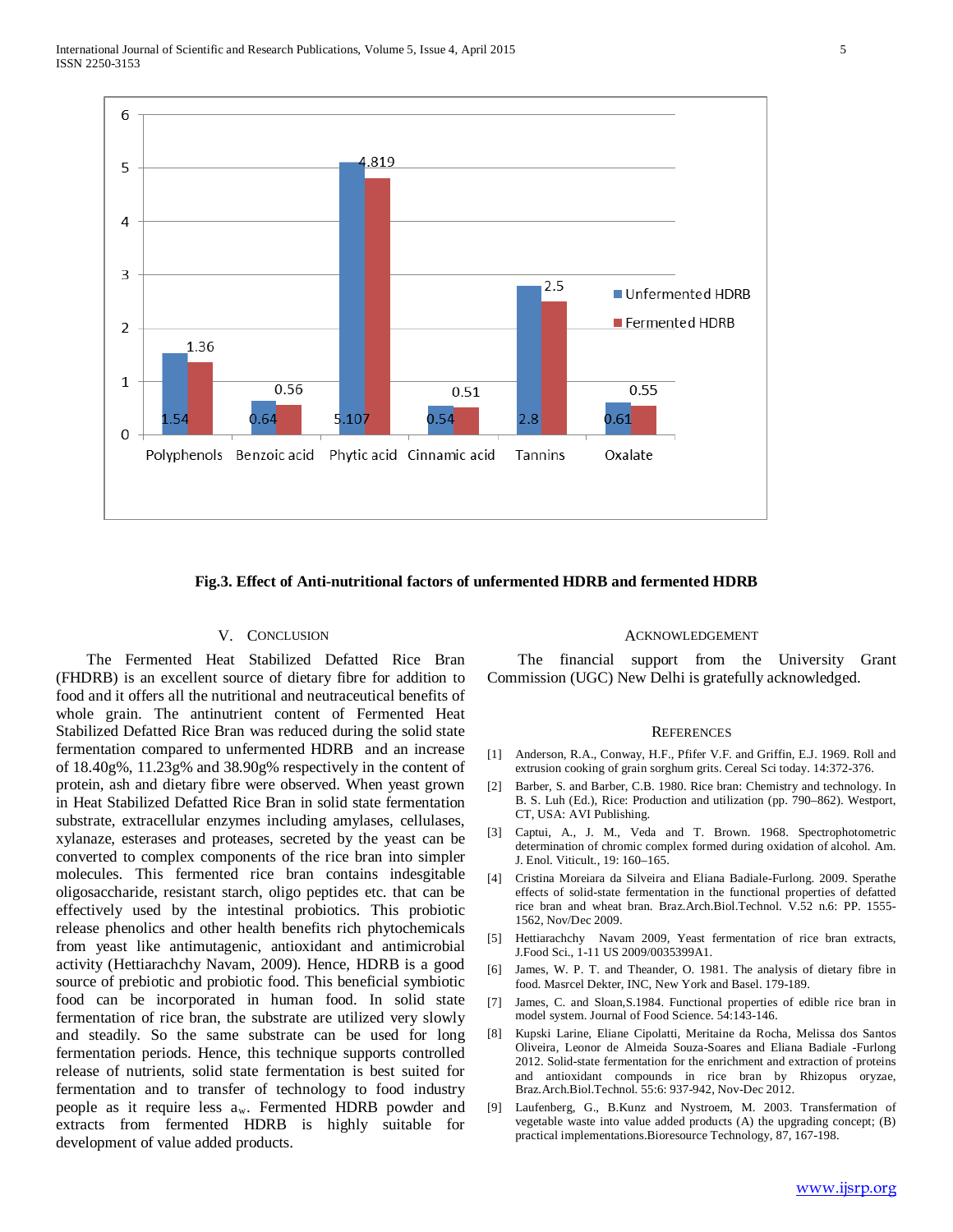

#### **Fig.3. Effect of Anti-nutritional factors of unfermented HDRB and fermented HDRB**

#### V. CONCLUSION

 The Fermented Heat Stabilized Defatted Rice Bran (FHDRB) is an excellent source of dietary fibre for addition to food and it offers all the nutritional and neutraceutical benefits of whole grain. The antinutrient content of Fermented Heat Stabilized Defatted Rice Bran was reduced during the solid state fermentation compared to unfermented HDRB and an increase of 18.40g%, 11.23g% and 38.90g% respectively in the content of protein, ash and dietary fibre were observed. When yeast grown in Heat Stabilized Defatted Rice Bran in solid state fermentation substrate, extracellular enzymes including amylases, cellulases, xylanaze, esterases and proteases, secreted by the yeast can be converted to complex components of the rice bran into simpler molecules. This fermented rice bran contains indesgitable oligosaccharide, resistant starch, oligo peptides etc. that can be effectively used by the intestinal probiotics. This probiotic release phenolics and other health benefits rich phytochemicals from yeast like antimutagenic, antioxidant and antimicrobial activity (Hettiarachchy Navam, 2009). Hence, HDRB is a good source of prebiotic and probiotic food. This beneficial symbiotic food can be incorporated in human food. In solid state fermentation of rice bran, the substrate are utilized very slowly and steadily. So the same substrate can be used for long fermentation periods. Hence, this technique supports controlled release of nutrients, solid state fermentation is best suited for fermentation and to transfer of technology to food industry people as it require less  $a_w$ . Fermented HDRB powder and extracts from fermented HDRB is highly suitable for development of value added products.

#### ACKNOWLEDGEMENT

 The financial support from the University Grant Commission (UGC) New Delhi is gratefully acknowledged.

#### **REFERENCES**

- [1] Anderson, R.A., Conway, H.F., Pfifer V.F. and Griffin, E.J. 1969. Roll and extrusion cooking of grain sorghum grits. Cereal Sci today. 14:372-376.
- [2] Barber, S. and Barber, C.B. 1980. Rice bran: Chemistry and technology. In B. S. Luh (Ed.), Rice: Production and utilization (pp. 790–862). Westport, CT, USA: AVI Publishing.
- [3] Captui, A., J. M., Veda and T. Brown. 1968. Spectrophotometric determination of chromic complex formed during oxidation of alcohol. Am. J. Enol. Viticult., 19: 160–165.
- [4] Cristina Moreiara da Silveira and Eliana Badiale-Furlong. 2009. Sperathe effects of solid-state fermentation in the functional properties of defatted rice bran and wheat bran. Braz.Arch.Biol.Technol. V.52 n.6: PP. 1555- 1562, Nov/Dec 2009.
- [5] Hettiarachchy Navam 2009, Yeast fermentation of rice bran extracts, J.Food Sci., 1-11 US 2009/0035399A1.
- [6] James, W. P. T. and Theander, O. 1981. The analysis of dietary fibre in food. Masrcel Dekter, INC, New York and Basel. 179-189.
- [7] James, C. and Sloan,S.1984. Functional properties of edible rice bran in model system. Journal of Food Science. 54:143-146.
- [8] Kupski Larine, Eliane Cipolatti, Meritaine da Rocha, Melissa dos Santos Oliveira, Leonor de Almeida Souza-Soares and Eliana Badiale -Furlong 2012. Solid-state fermentation for the enrichment and extraction of proteins and antioxidant compounds in rice bran by Rhizopus oryzae, Braz.Arch.Biol.Technol. 55:6: 937-942, Nov-Dec 2012.
- [9] Laufenberg, G., B.Kunz and Nystroem, M. 2003. Transfermation of vegetable waste into value added products (A) the upgrading concept; (B) practical implementations.Bioresource Technology, 87, 167-198.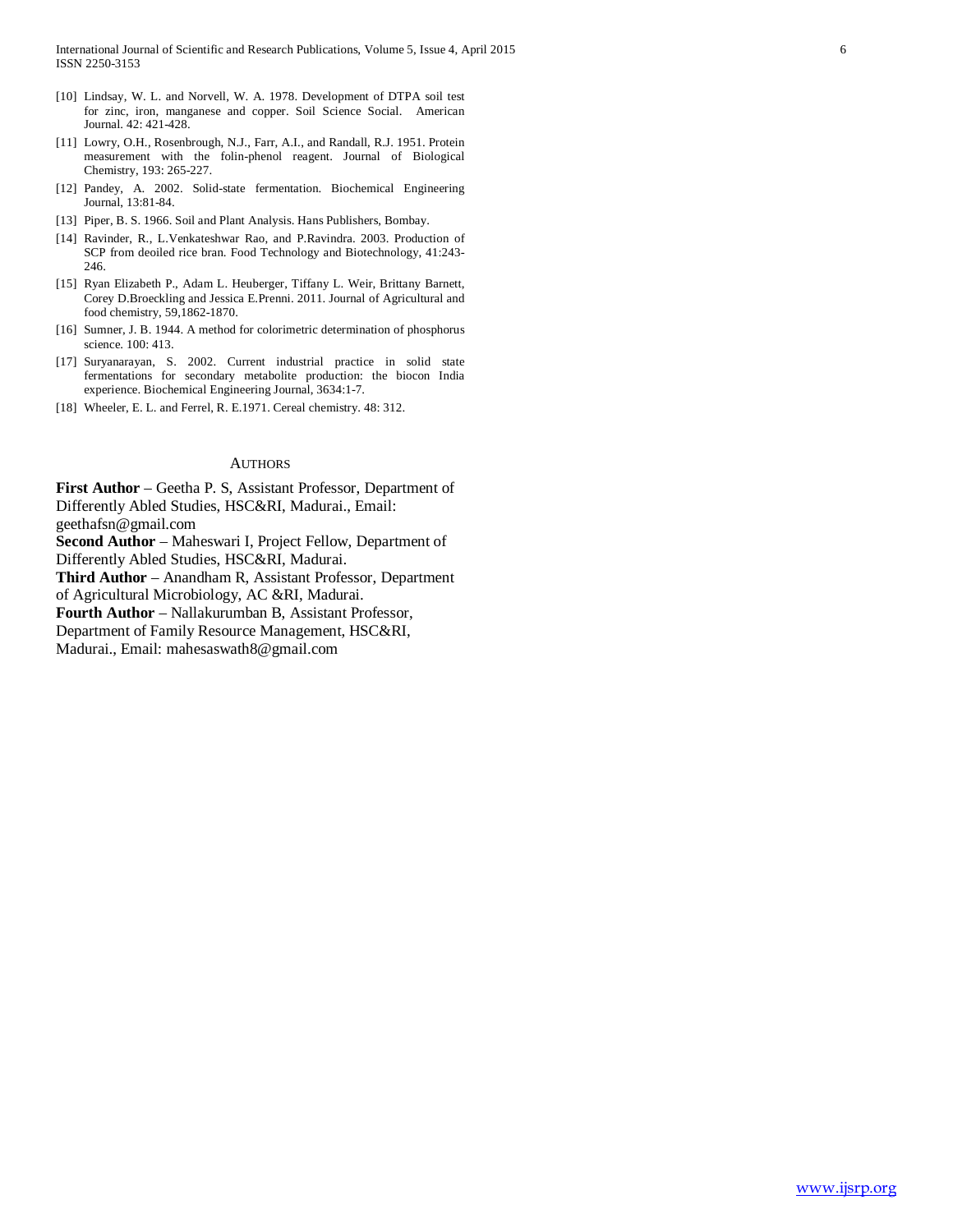- [10] Lindsay, W. L. and Norvell, W. A. 1978. Development of DTPA soil test for zinc, iron, manganese and copper. Soil Science Social. American Journal. 42: 421-428.
- [11] Lowry, O.H., Rosenbrough, N.J., Farr, A.I., and Randall, R.J. 1951. Protein measurement with the folin-phenol reagent. Journal of Biological Chemistry, 193: 265-227.
- [12] Pandey, A. 2002. Solid-state fermentation. Biochemical Engineering Journal, 13:81-84.
- [13] Piper, B. S. 1966. Soil and Plant Analysis. Hans Publishers, Bombay.
- [14] Ravinder, R., L.Venkateshwar Rao, and P.Ravindra. 2003. Production of SCP from deoiled rice bran. Food Technology and Biotechnology, 41:243- 246.
- [15] Ryan Elizabeth P., Adam L. Heuberger, Tiffany L. Weir, Brittany Barnett, Corey D.Broeckling and Jessica E.Prenni. 2011. Journal of Agricultural and food chemistry, 59,1862-1870.
- [16] Sumner, J. B. 1944. A method for colorimetric determination of phosphorus science. 100: 413.
- [17] Suryanarayan, S. 2002. Current industrial practice in solid state fermentations for secondary metabolite production: the biocon India experience. Biochemical Engineering Journal, 3634:1-7.
- [18] Wheeler, E. L. and Ferrel, R. E.1971. Cereal chemistry. 48: 312.

#### **AUTHORS**

**First Author** – Geetha P. S, Assistant Professor, Department of Differently Abled Studies, HSC&RI, Madurai., Email: geethafsn@gmail.com

**Second Author** – Maheswari I, Project Fellow, Department of Differently Abled Studies, HSC&RI, Madurai.

**Third Author** – Anandham R, Assistant Professor, Department of Agricultural Microbiology, AC &RI, Madurai.

**Fourth Author** – Nallakurumban B, Assistant Professor,

Department of Family Resource Management, HSC&RI,

Madurai., Email: mahesaswath8@gmail.com